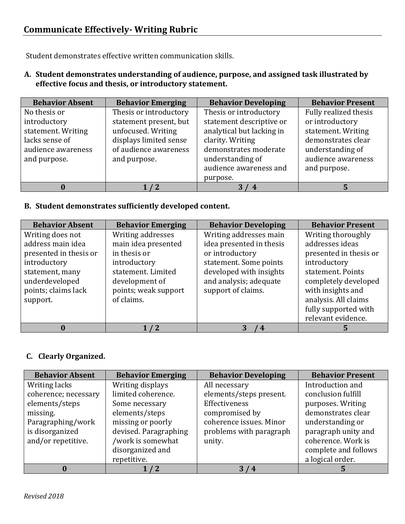Student demonstrates effective written communication skills.

**A. Student demonstrates understanding of audience, purpose, and assigned task illustrated by effective focus and thesis, or introductory statement.** 

| <b>Behavior Absent</b> | <b>Behavior Emerging</b> | <b>Behavior Developing</b> | <b>Behavior Present</b> |
|------------------------|--------------------------|----------------------------|-------------------------|
| No thesis or           | Thesis or introductory   | Thesis or introductory     | Fully realized thesis   |
| introductory           | statement present, but   | statement descriptive or   | or introductory         |
| statement. Writing     | unfocused. Writing       | analytical but lacking in  | statement. Writing      |
| lacks sense of         | displays limited sense   | clarity. Writing           | demonstrates clear      |
| audience awareness     | of audience awareness    | demonstrates moderate      | understanding of        |
| and purpose.           | and purpose.             | understanding of           | audience awareness      |
|                        |                          | audience awareness and     | and purpose.            |
|                        |                          | purpose.                   |                         |
| 0                      |                          | 4                          |                         |

## **B. Student demonstrates sufficiently developed content.**

| <b>Behavior Absent</b> | <b>Behavior Emerging</b> | <b>Behavior Developing</b> | <b>Behavior Present</b> |
|------------------------|--------------------------|----------------------------|-------------------------|
| Writing does not       | Writing addresses        | Writing addresses main     | Writing thoroughly      |
| address main idea      | main idea presented      | idea presented in thesis   | addresses ideas         |
| presented in thesis or | in thesis or             | or introductory            | presented in thesis or  |
| introductory           | introductory             | statement. Some points     | introductory            |
| statement, many        | statement. Limited       | developed with insights    | statement. Points       |
| underdeveloped         | development of           | and analysis; adequate     | completely developed    |
| points; claims lack    | points; weak support     | support of claims.         | with insights and       |
| support.               | of claims.               |                            | analysis. All claims    |
|                        |                          |                            | fully supported with    |
|                        |                          |                            | relevant evidence.      |
|                        | $\sqrt{2}$               | $\boldsymbol{4}$           |                         |

## **C. Clearly Organized.**

| <b>Behavior Absent</b> | <b>Behavior Emerging</b> | <b>Behavior Developing</b> | <b>Behavior Present</b> |
|------------------------|--------------------------|----------------------------|-------------------------|
| Writing lacks          | Writing displays         | All necessary              | Introduction and        |
| coherence; necessary   | limited coherence.       | elements/steps present.    | conclusion fulfill      |
| elements/steps         | Some necessary           | Effectiveness              | purposes. Writing       |
| missing.               | elements/steps           | compromised by             | demonstrates clear      |
| Paragraphing/work      | missing or poorly        | coherence issues. Minor    | understanding or        |
| is disorganized        | devised. Paragraphing    | problems with paragraph    | paragraph unity and     |
| and/or repetitive.     | /work is somewhat        | unity.                     | coherence. Work is      |
|                        | disorganized and         |                            | complete and follows    |
|                        | repetitive.              |                            | a logical order.        |
|                        |                          | 3/4                        |                         |